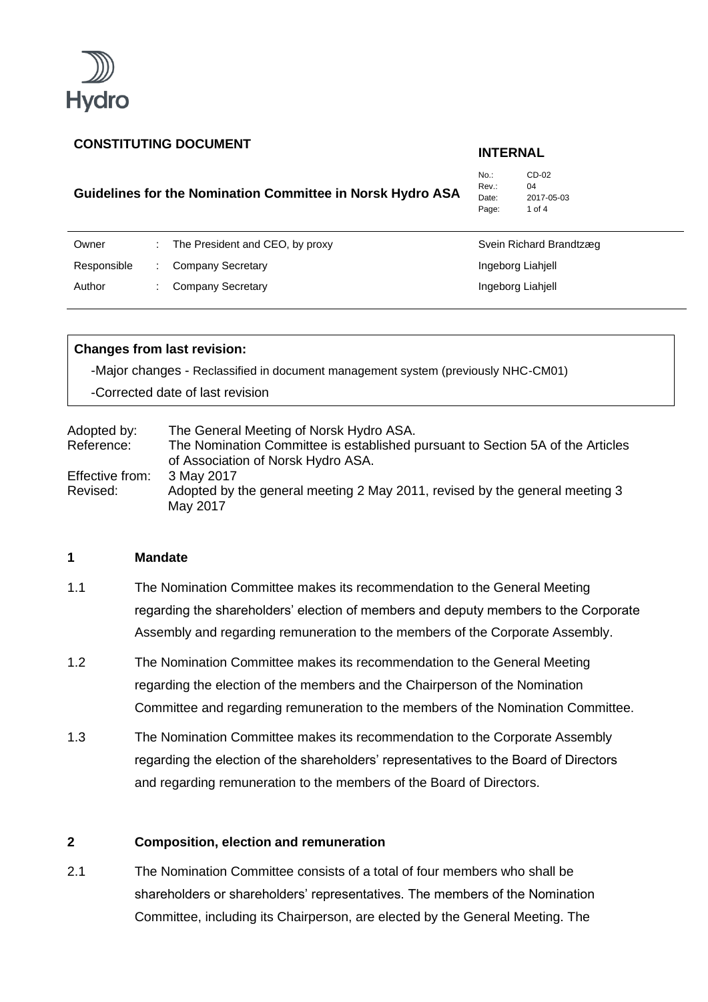

# **Guidelines for the Nomination Committee in Norsk Hydro ASA**

No.: CD-02 Rev<sup>.</sup> 04 Date: 2017-05-03 Page: 1 of 4

| Owner       | The President and CEO, by proxy | Svein Richard Brandtzæg |
|-------------|---------------------------------|-------------------------|
| Responsible | Company Secretary               | Ingeborg Liahjell       |
| Author      | Company Secretary               | Ingeborg Liahjell       |

### **Changes from last revision:**

-Major changes - Reclassified in document management system (previously NHC-CM01) -Corrected date of last revision

| Adopted by:     | The General Meeting of Norsk Hydro ASA.                                        |
|-----------------|--------------------------------------------------------------------------------|
| Reference:      | The Nomination Committee is established pursuant to Section 5A of the Articles |
|                 | of Association of Norsk Hydro ASA.                                             |
| Effective from: | 3 May 2017                                                                     |
| Revised:        | Adopted by the general meeting 2 May 2011, revised by the general meeting 3    |
|                 | May 2017                                                                       |

### **1 Mandate**

- 1.1 The Nomination Committee makes its recommendation to the General Meeting regarding the shareholders' election of members and deputy members to the Corporate Assembly and regarding remuneration to the members of the Corporate Assembly.
- 1.2 The Nomination Committee makes its recommendation to the General Meeting regarding the election of the members and the Chairperson of the Nomination Committee and regarding remuneration to the members of the Nomination Committee.
- 1.3 The Nomination Committee makes its recommendation to the Corporate Assembly regarding the election of the shareholders' representatives to the Board of Directors and regarding remuneration to the members of the Board of Directors.

# **2 Composition, election and remuneration**

2.1 The Nomination Committee consists of a total of four members who shall be shareholders or shareholders' representatives. The members of the Nomination Committee, including its Chairperson, are elected by the General Meeting. The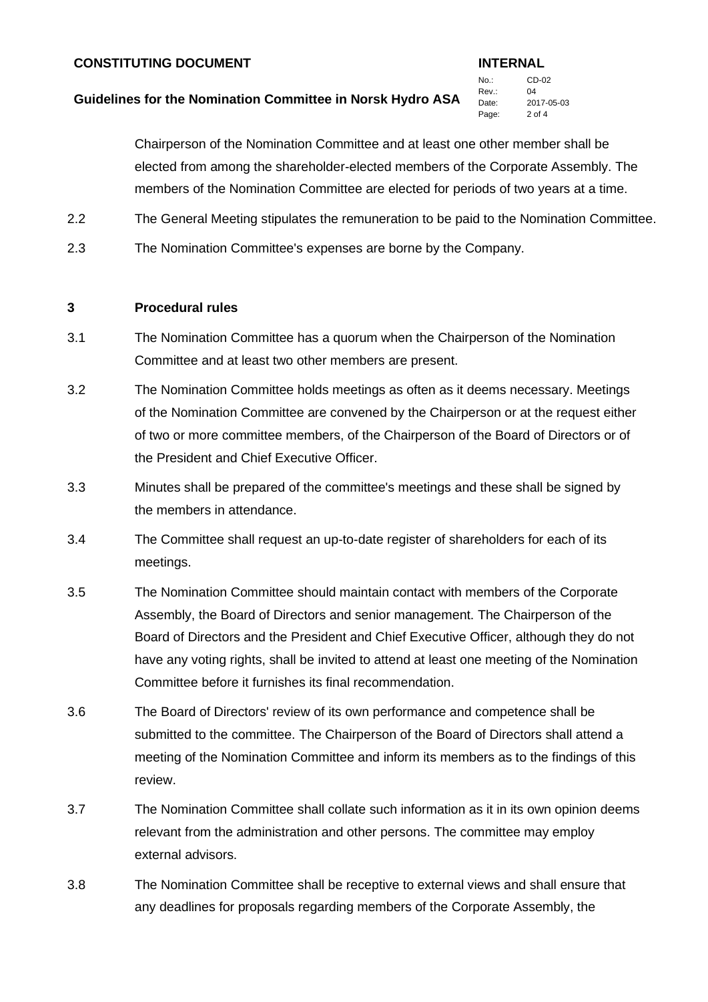### **Guidelines for the Nomination Committee in Norsk Hydro ASA**

No.: CD-02 Rev. 04 Date: 2017-05-03 Page: 2 of 4

Chairperson of the Nomination Committee and at least one other member shall be elected from among the shareholder-elected members of the Corporate Assembly. The members of the Nomination Committee are elected for periods of two years at a time.

- 2.2 The General Meeting stipulates the remuneration to be paid to the Nomination Committee.
- 2.3 The Nomination Committee's expenses are borne by the Company.

### **3 Procedural rules**

- 3.1 The Nomination Committee has a quorum when the Chairperson of the Nomination Committee and at least two other members are present.
- 3.2 The Nomination Committee holds meetings as often as it deems necessary. Meetings of the Nomination Committee are convened by the Chairperson or at the request either of two or more committee members, of the Chairperson of the Board of Directors or of the President and Chief Executive Officer.
- 3.3 Minutes shall be prepared of the committee's meetings and these shall be signed by the members in attendance.
- 3.4 The Committee shall request an up-to-date register of shareholders for each of its meetings.
- 3.5 The Nomination Committee should maintain contact with members of the Corporate Assembly, the Board of Directors and senior management. The Chairperson of the Board of Directors and the President and Chief Executive Officer, although they do not have any voting rights, shall be invited to attend at least one meeting of the Nomination Committee before it furnishes its final recommendation.
- 3.6 The Board of Directors' review of its own performance and competence shall be submitted to the committee. The Chairperson of the Board of Directors shall attend a meeting of the Nomination Committee and inform its members as to the findings of this review.
- 3.7 The Nomination Committee shall collate such information as it in its own opinion deems relevant from the administration and other persons. The committee may employ external advisors.
- 3.8 The Nomination Committee shall be receptive to external views and shall ensure that any deadlines for proposals regarding members of the Corporate Assembly, the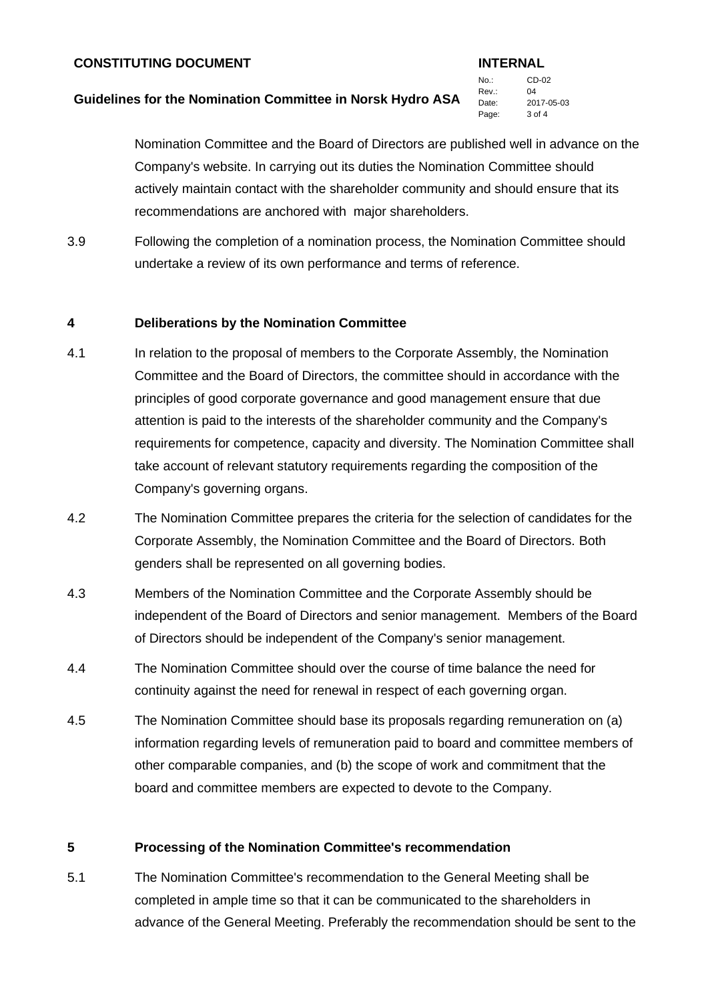# **Guidelines for the Nomination Committee in Norsk Hydro ASA**

No.: CD-02 Rev. 04 Date: 2017-05-03 Page: 3 of 4

Nomination Committee and the Board of Directors are published well in advance on the Company's website. In carrying out its duties the Nomination Committee should actively maintain contact with the shareholder community and should ensure that its recommendations are anchored with major shareholders.

3.9 Following the completion of a nomination process, the Nomination Committee should undertake a review of its own performance and terms of reference.

# **4 Deliberations by the Nomination Committee**

- 4.1 In relation to the proposal of members to the Corporate Assembly, the Nomination Committee and the Board of Directors, the committee should in accordance with the principles of good corporate governance and good management ensure that due attention is paid to the interests of the shareholder community and the Company's requirements for competence, capacity and diversity. The Nomination Committee shall take account of relevant statutory requirements regarding the composition of the Company's governing organs.
- 4.2 The Nomination Committee prepares the criteria for the selection of candidates for the Corporate Assembly, the Nomination Committee and the Board of Directors. Both genders shall be represented on all governing bodies.
- 4.3 Members of the Nomination Committee and the Corporate Assembly should be independent of the Board of Directors and senior management. Members of the Board of Directors should be independent of the Company's senior management.
- 4.4 The Nomination Committee should over the course of time balance the need for continuity against the need for renewal in respect of each governing organ.
- 4.5 The Nomination Committee should base its proposals regarding remuneration on (a) information regarding levels of remuneration paid to board and committee members of other comparable companies, and (b) the scope of work and commitment that the board and committee members are expected to devote to the Company.

# **5 Processing of the Nomination Committee's recommendation**

5.1 The Nomination Committee's recommendation to the General Meeting shall be completed in ample time so that it can be communicated to the shareholders in advance of the General Meeting. Preferably the recommendation should be sent to the